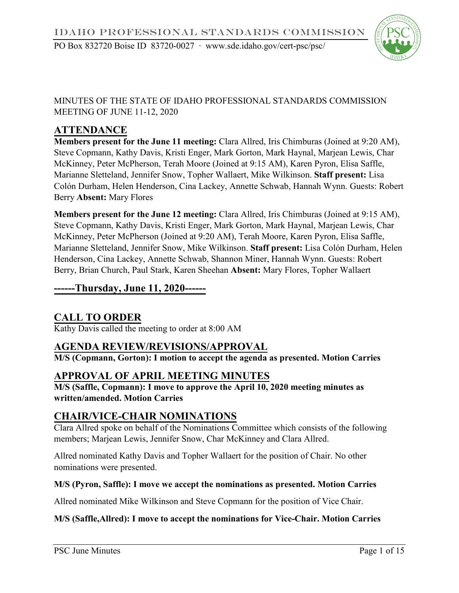## MINUTES OF THE STATE OF IDAHO PROFESSIONAL STANDARDS COMMISSION MEETING OF JUNE 11-12, 2020

# **ATTENDANCE**

**Members present for the June 11 meeting:** Clara Allred, Iris Chimburas (Joined at 9:20 AM), Steve Copmann, Kathy Davis, Kristi Enger, Mark Gorton, Mark Haynal, Marjean Lewis, Char McKinney, Peter McPherson, Terah Moore (Joined at 9:15 AM), Karen Pyron, Elisa Saffle, Marianne Sletteland, Jennifer Snow, Topher Wallaert, Mike Wilkinson. **Staff present:** Lisa Colón Durham, Helen Henderson, Cina Lackey, Annette Schwab, Hannah Wynn. Guests: Robert Berry **Absent:** Mary Flores

**Members present for the June 12 meeting:** Clara Allred, Iris Chimburas (Joined at 9:15 AM), Steve Copmann, Kathy Davis, Kristi Enger, Mark Gorton, Mark Haynal, Marjean Lewis, Char McKinney, Peter McPherson (Joined at 9:20 AM), Terah Moore, Karen Pyron, Elisa Saffle, Marianne Sletteland, Jennifer Snow, Mike Wilkinson. **Staff present:** Lisa Colón Durham, Helen Henderson, Cina Lackey, Annette Schwab, Shannon Miner, Hannah Wynn. Guests: Robert Berry, Brian Church, Paul Stark, Karen Sheehan **Absent:** Mary Flores, Topher Wallaert

## **------Thursday, June 11, 2020------**

# **CALL TO ORDER**

Kathy Davis called the meeting to order at 8:00 AM

# **AGENDA REVIEW/REVISIONS/APPROVAL**

**M/S (Copmann, Gorton): I motion to accept the agenda as presented. Motion Carries**

# **APPROVAL OF APRIL MEETING MINUTES**

**M/S (Saffle, Copmann): I move to approve the April 10, 2020 meeting minutes as written/amended. Motion Carries**

# **CHAIR/VICE-CHAIR NOMINATIONS**

Clara Allred spoke on behalf of the Nominations Committee which consists of the following members; Marjean Lewis, Jennifer Snow, Char McKinney and Clara Allred.

Allred nominated Kathy Davis and Topher Wallaert for the position of Chair. No other nominations were presented.

#### **M/S (Pyron, Saffle): I move we accept the nominations as presented. Motion Carries**

Allred nominated Mike Wilkinson and Steve Copmann for the position of Vice Chair.

#### **M/S (Saffle,Allred): I move to accept the nominations for Vice-Chair. Motion Carries**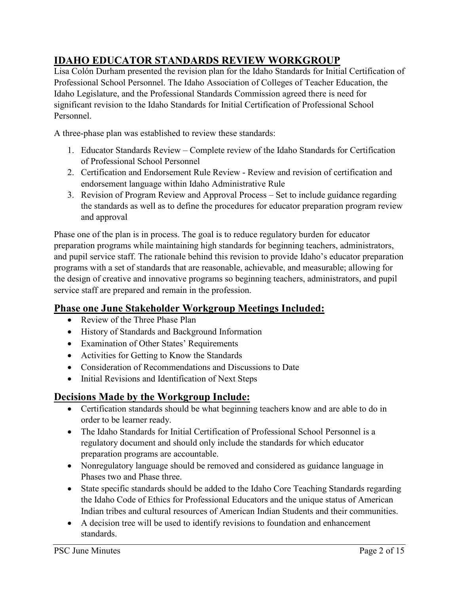# **IDAHO EDUCATOR STANDARDS REVIEW WORKGROUP**

Lisa Colón Durham presented the revision plan for the Idaho Standards for Initial Certification of Professional School Personnel. The Idaho Association of Colleges of Teacher Education, the Idaho Legislature, and the Professional Standards Commission agreed there is need for significant revision to the Idaho Standards for Initial Certification of Professional School Personnel.

A three-phase plan was established to review these standards:

- 1. Educator Standards Review Complete review of the Idaho Standards for Certification of Professional School Personnel
- 2. Certification and Endorsement Rule Review Review and revision of certification and endorsement language within Idaho Administrative Rule
- 3. Revision of Program Review and Approval Process Set to include guidance regarding the standards as well as to define the procedures for educator preparation program review and approval

Phase one of the plan is in process. The goal is to reduce regulatory burden for educator preparation programs while maintaining high standards for beginning teachers, administrators, and pupil service staff. The rationale behind this revision to provide Idaho's educator preparation programs with a set of standards that are reasonable, achievable, and measurable; allowing for the design of creative and innovative programs so beginning teachers, administrators, and pupil service staff are prepared and remain in the profession.

# **Phase one June Stakeholder Workgroup Meetings Included:**

- Review of the Three Phase Plan
- History of Standards and Background Information
- Examination of Other States' Requirements
- Activities for Getting to Know the Standards
- Consideration of Recommendations and Discussions to Date
- Initial Revisions and Identification of Next Steps

# **Decisions Made by the Workgroup Include:**

- Certification standards should be what beginning teachers know and are able to do in order to be learner ready.
- The Idaho Standards for Initial Certification of Professional School Personnel is a regulatory document and should only include the standards for which educator preparation programs are accountable.
- Nonregulatory language should be removed and considered as guidance language in Phases two and Phase three.
- State specific standards should be added to the Idaho Core Teaching Standards regarding the Idaho Code of Ethics for Professional Educators and the unique status of American Indian tribes and cultural resources of American Indian Students and their communities.
- A decision tree will be used to identify revisions to foundation and enhancement standards.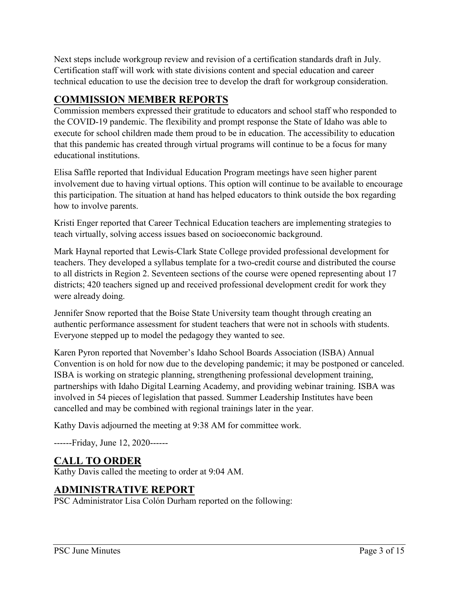Next steps include workgroup review and revision of a certification standards draft in July. Certification staff will work with state divisions content and special education and career technical education to use the decision tree to develop the draft for workgroup consideration.

# **COMMISSION MEMBER REPORTS**

Commission members expressed their gratitude to educators and school staff who responded to the COVID-19 pandemic. The flexibility and prompt response the State of Idaho was able to execute for school children made them proud to be in education. The accessibility to education that this pandemic has created through virtual programs will continue to be a focus for many educational institutions.

Elisa Saffle reported that Individual Education Program meetings have seen higher parent involvement due to having virtual options. This option will continue to be available to encourage this participation. The situation at hand has helped educators to think outside the box regarding how to involve parents.

Kristi Enger reported that Career Technical Education teachers are implementing strategies to teach virtually, solving access issues based on socioeconomic background.

Mark Haynal reported that Lewis-Clark State College provided professional development for teachers. They developed a syllabus template for a two-credit course and distributed the course to all districts in Region 2. Seventeen sections of the course were opened representing about 17 districts; 420 teachers signed up and received professional development credit for work they were already doing.

Jennifer Snow reported that the Boise State University team thought through creating an authentic performance assessment for student teachers that were not in schools with students. Everyone stepped up to model the pedagogy they wanted to see.

Karen Pyron reported that November's Idaho School Boards Association (ISBA) Annual Convention is on hold for now due to the developing pandemic; it may be postponed or canceled. ISBA is working on strategic planning, strengthening professional development training, partnerships with Idaho Digital Learning Academy, and providing webinar training. ISBA was involved in 54 pieces of legislation that passed. Summer Leadership Institutes have been cancelled and may be combined with regional trainings later in the year.

Kathy Davis adjourned the meeting at 9:38 AM for committee work.

------Friday, June 12, 2020------

# **CALL TO ORDER**

Kathy Davis called the meeting to order at 9:04 AM.

# **ADMINISTRATIVE REPORT**

PSC Administrator Lisa Colón Durham reported on the following: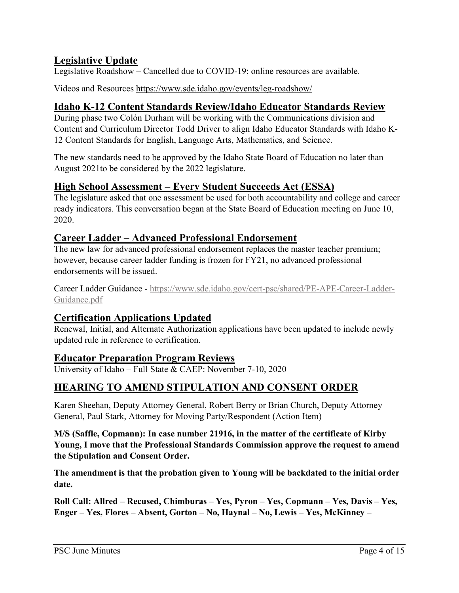# **Legislative Update**

Legislative Roadshow – Cancelled due to COVID-19; online resources are available.

Videos and Resources<https://www.sde.idaho.gov/events/leg-roadshow/>

# **Idaho K-12 Content Standards Review/Idaho Educator Standards Review**

During phase two Colón Durham will be working with the Communications division and Content and Curriculum Director Todd Driver to align Idaho Educator Standards with Idaho K-12 Content Standards for English, Language Arts, Mathematics, and Science.

The new standards need to be approved by the Idaho State Board of Education no later than August 2021to be considered by the 2022 legislature.

## **High School Assessment – Every Student Succeeds Act (ESSA)**

The legislature asked that one assessment be used for both accountability and college and career ready indicators. This conversation began at the State Board of Education meeting on June 10, 2020.

## **Career Ladder – Advanced Professional Endorsement**

The new law for advanced professional endorsement replaces the master teacher premium; however, because career ladder funding is frozen for FY21, no advanced professional endorsements will be issued.

Career Ladder Guidance - [https://www.sde.idaho.gov/cert-psc/shared/PE-APE-Career-Ladder-](https://www.sde.idaho.gov/cert-psc/shared/PE-APE-Career-Ladder-Guidance.pdf)[Guidance.pdf](https://www.sde.idaho.gov/cert-psc/shared/PE-APE-Career-Ladder-Guidance.pdf)

# **Certification Applications Updated**

Renewal, Initial, and Alternate Authorization applications have been updated to include newly updated rule in reference to certification.

## **Educator Preparation Program Reviews**

University of Idaho – Full State & CAEP: November 7-10, 2020

# **HEARING TO AMEND STIPULATION AND CONSENT ORDER**

Karen Sheehan, Deputy Attorney General, Robert Berry or Brian Church, Deputy Attorney General, Paul Stark, Attorney for Moving Party/Respondent (Action Item)

**M/S (Saffle, Copmann): In case number 21916, in the matter of the certificate of Kirby Young, I move that the Professional Standards Commission approve the request to amend the Stipulation and Consent Order.**

**The amendment is that the probation given to Young will be backdated to the initial order date.** 

**Roll Call: Allred – Recused, Chimburas – Yes, Pyron – Yes, Copmann – Yes, Davis – Yes, Enger – Yes, Flores – Absent, Gorton – No, Haynal – No, Lewis – Yes, McKinney –**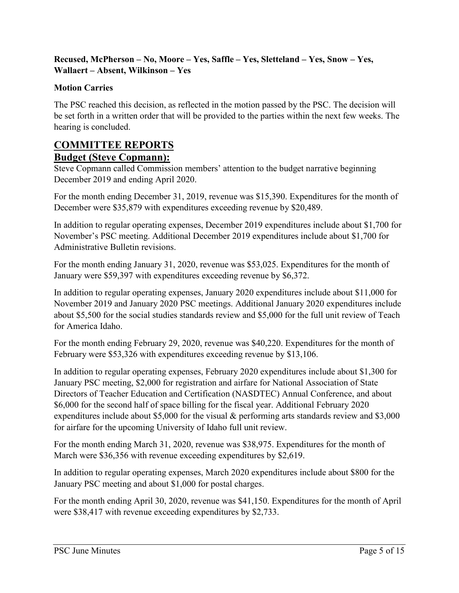#### **Recused, McPherson – No, Moore – Yes, Saffle – Yes, Sletteland – Yes, Snow – Yes, Wallaert – Absent, Wilkinson – Yes**

#### **Motion Carries**

The PSC reached this decision, as reflected in the motion passed by the PSC. The decision will be set forth in a written order that will be provided to the parties within the next few weeks. The hearing is concluded.

# **COMMITTEE REPORTS**

#### **Budget (Steve Copmann):**

Steve Copmann called Commission members' attention to the budget narrative beginning December 2019 and ending April 2020.

For the month ending December 31, 2019, revenue was \$15,390. Expenditures for the month of December were \$35,879 with expenditures exceeding revenue by \$20,489.

In addition to regular operating expenses, December 2019 expenditures include about \$1,700 for November's PSC meeting. Additional December 2019 expenditures include about \$1,700 for Administrative Bulletin revisions.

For the month ending January 31, 2020, revenue was \$53,025. Expenditures for the month of January were \$59,397 with expenditures exceeding revenue by \$6,372.

In addition to regular operating expenses, January 2020 expenditures include about \$11,000 for November 2019 and January 2020 PSC meetings. Additional January 2020 expenditures include about \$5,500 for the social studies standards review and \$5,000 for the full unit review of Teach for America Idaho.

For the month ending February 29, 2020, revenue was \$40,220. Expenditures for the month of February were \$53,326 with expenditures exceeding revenue by \$13,106.

In addition to regular operating expenses, February 2020 expenditures include about \$1,300 for January PSC meeting, \$2,000 for registration and airfare for National Association of State Directors of Teacher Education and Certification (NASDTEC) Annual Conference, and about \$6,000 for the second half of space billing for the fiscal year. Additional February 2020 expenditures include about \$5,000 for the visual & performing arts standards review and \$3,000 for airfare for the upcoming University of Idaho full unit review.

For the month ending March 31, 2020, revenue was \$38,975. Expenditures for the month of March were \$36,356 with revenue exceeding expenditures by \$2,619.

In addition to regular operating expenses, March 2020 expenditures include about \$800 for the January PSC meeting and about \$1,000 for postal charges.

For the month ending April 30, 2020, revenue was \$41,150. Expenditures for the month of April were \$38,417 with revenue exceeding expenditures by \$2,733.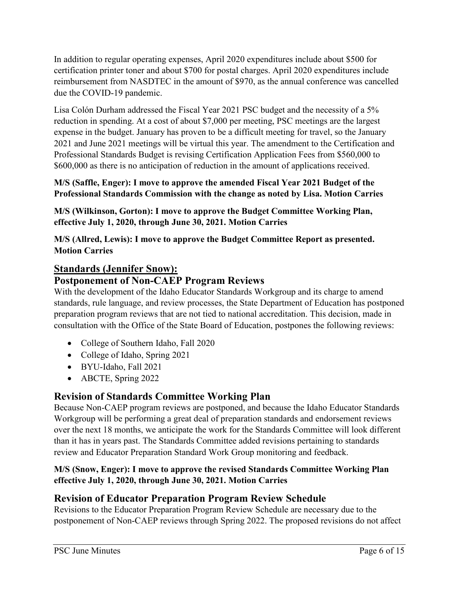In addition to regular operating expenses, April 2020 expenditures include about \$500 for certification printer toner and about \$700 for postal charges. April 2020 expenditures include reimbursement from NASDTEC in the amount of \$970, as the annual conference was cancelled due the COVID-19 pandemic.

Lisa Colón Durham addressed the Fiscal Year 2021 PSC budget and the necessity of a 5% reduction in spending. At a cost of about \$7,000 per meeting, PSC meetings are the largest expense in the budget. January has proven to be a difficult meeting for travel, so the January 2021 and June 2021 meetings will be virtual this year. The amendment to the Certification and Professional Standards Budget is revising Certification Application Fees from \$560,000 to \$600,000 as there is no anticipation of reduction in the amount of applications received.

#### **M/S (Saffle, Enger): I move to approve the amended Fiscal Year 2021 Budget of the Professional Standards Commission with the change as noted by Lisa. Motion Carries**

**M/S (Wilkinson, Gorton): I move to approve the Budget Committee Working Plan, effective July 1, 2020, through June 30, 2021. Motion Carries**

**M/S (Allred, Lewis): I move to approve the Budget Committee Report as presented. Motion Carries**

## **Standards (Jennifer Snow):**

# **Postponement of Non-CAEP Program Reviews**

With the development of the Idaho Educator Standards Workgroup and its charge to amend standards, rule language, and review processes, the State Department of Education has postponed preparation program reviews that are not tied to national accreditation. This decision, made in consultation with the Office of the State Board of Education, postpones the following reviews:

- College of Southern Idaho, Fall 2020
- College of Idaho, Spring 2021
- BYU-Idaho, Fall 2021
- ABCTE, Spring 2022

## **Revision of Standards Committee Working Plan**

Because Non-CAEP program reviews are postponed, and because the Idaho Educator Standards Workgroup will be performing a great deal of preparation standards and endorsement reviews over the next 18 months, we anticipate the work for the Standards Committee will look different than it has in years past. The Standards Committee added revisions pertaining to standards review and Educator Preparation Standard Work Group monitoring and feedback.

#### **M/S (Snow, Enger): I move to approve the revised Standards Committee Working Plan effective July 1, 2020, through June 30, 2021. Motion Carries**

## **Revision of Educator Preparation Program Review Schedule**

Revisions to the Educator Preparation Program Review Schedule are necessary due to the postponement of Non-CAEP reviews through Spring 2022. The proposed revisions do not affect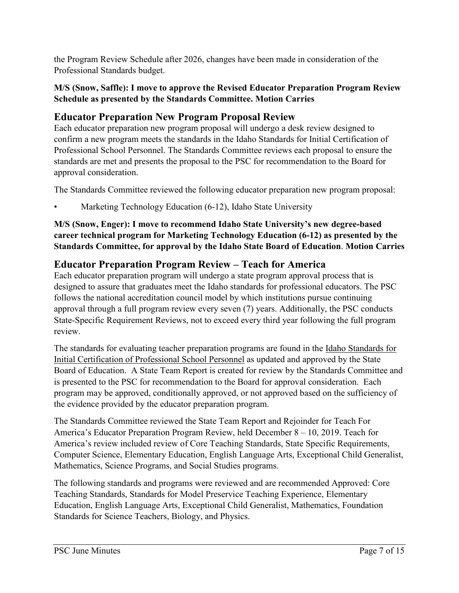the Program Review Schedule after 2026, changes have been made in consideration of the Professional Standards budget.

#### **M/S (Snow, Saffle): I move to approve the Revised Educator Preparation Program Review Schedule as presented by the Standards Committee. Motion Carries**

# **Educator Preparation New Program Proposal Review**

Each educator preparation new program proposal will undergo a desk review designed to confirm a new program meets the standards in the Idaho Standards for Initial Certification of Professional School Personnel. The Standards Committee reviews each proposal to ensure the standards are met and presents the proposal to the PSC for recommendation to the Board for approval consideration.

The Standards Committee reviewed the following educator preparation new program proposal:

• Marketing Technology Education (6-12), Idaho State University

#### **M/S (Snow, Enger): I move to recommend Idaho State University's new degree-based career technical program for Marketing Technology Education (6-12) as presented by the Standards Committee, for approval by the Idaho State Board of Education**. **Motion Carries**

# **Educator Preparation Program Review – Teach for America**

Each educator preparation program will undergo a state program approval process that is designed to assure that graduates meet the Idaho standards for professional educators. The PSC follows the national accreditation council model by which institutions pursue continuing approval through a full program review every seven (7) years. Additionally, the PSC conducts State-Specific Requirement Reviews, not to exceed every third year following the full program review.

The standards for evaluating teacher preparation programs are found in the [Idaho Standards for](http://www.sde.idaho.gov/cert-psc/psc/standards/files/standards-initial/Standards-for-Initial-Certification-for-Program-Reviews-after-July-1-2020.pdf)  [Initial Certification of Professional School Personnel](http://www.sde.idaho.gov/cert-psc/psc/standards/files/standards-initial/Standards-for-Initial-Certification-for-Program-Reviews-after-July-1-2020.pdf) as updated and approved by the State Board of Education. A State Team Report is created for review by the Standards Committee and is presented to the PSC for recommendation to the Board for approval consideration. Each program may be approved, conditionally approved, or not approved based on the sufficiency of the evidence provided by the educator preparation program.

The Standards Committee reviewed the State Team Report and Rejoinder for Teach For America's Educator Preparation Program Review, held December 8 – 10, 2019. Teach for America's review included review of Core Teaching Standards, State Specific Requirements, Computer Science, Elementary Education, English Language Arts, Exceptional Child Generalist, Mathematics, Science Programs, and Social Studies programs.

The following standards and programs were reviewed and are recommended Approved: Core Teaching Standards, Standards for Model Preservice Teaching Experience, Elementary Education, English Language Arts, Exceptional Child Generalist, Mathematics, Foundation Standards for Science Teachers, Biology, and Physics.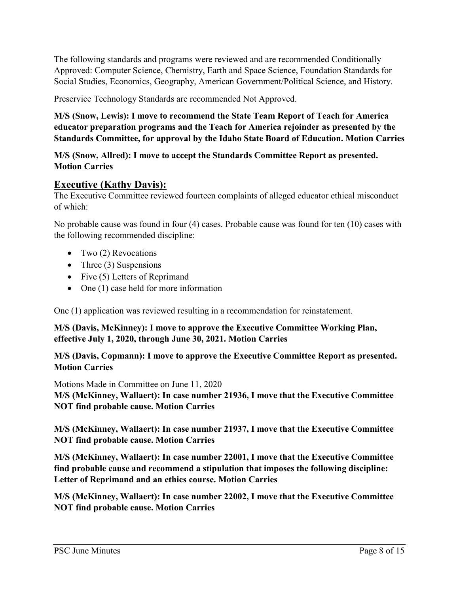The following standards and programs were reviewed and are recommended Conditionally Approved: Computer Science, Chemistry, Earth and Space Science, Foundation Standards for Social Studies, Economics, Geography, American Government/Political Science, and History.

Preservice Technology Standards are recommended Not Approved.

**M/S (Snow, Lewis): I move to recommend the State Team Report of Teach for America educator preparation programs and the Teach for America rejoinder as presented by the Standards Committee, for approval by the Idaho State Board of Education. Motion Carries**

#### **M/S (Snow, Allred): I move to accept the Standards Committee Report as presented. Motion Carries**

#### **Executive (Kathy Davis):**

The Executive Committee reviewed fourteen complaints of alleged educator ethical misconduct of which:

No probable cause was found in four (4) cases. Probable cause was found for ten (10) cases with the following recommended discipline:

- Two (2) Revocations
- Three  $(3)$  Suspensions
- Five (5) Letters of Reprimand
- One (1) case held for more information

One (1) application was reviewed resulting in a recommendation for reinstatement.

#### **M/S (Davis, McKinney): I move to approve the Executive Committee Working Plan, effective July 1, 2020, through June 30, 2021. Motion Carries**

#### **M/S (Davis, Copmann): I move to approve the Executive Committee Report as presented. Motion Carries**

Motions Made in Committee on June 11, 2020

**M/S (McKinney, Wallaert): In case number 21936, I move that the Executive Committee NOT find probable cause. Motion Carries**

**M/S (McKinney, Wallaert): In case number 21937, I move that the Executive Committee NOT find probable cause. Motion Carries** 

**M/S (McKinney, Wallaert): In case number 22001, I move that the Executive Committee find probable cause and recommend a stipulation that imposes the following discipline: Letter of Reprimand and an ethics course. Motion Carries** 

**M/S (McKinney, Wallaert): In case number 22002, I move that the Executive Committee NOT find probable cause. Motion Carries**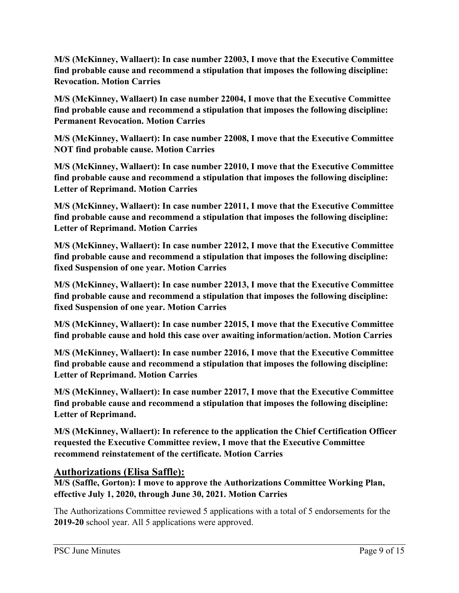**M/S (McKinney, Wallaert): In case number 22003, I move that the Executive Committee find probable cause and recommend a stipulation that imposes the following discipline: Revocation. Motion Carries** 

**M/S (McKinney, Wallaert) In case number 22004, I move that the Executive Committee find probable cause and recommend a stipulation that imposes the following discipline: Permanent Revocation. Motion Carries** 

**M/S (McKinney, Wallaert): In case number 22008, I move that the Executive Committee NOT find probable cause. Motion Carries**

**M/S (McKinney, Wallaert): In case number 22010, I move that the Executive Committee find probable cause and recommend a stipulation that imposes the following discipline: Letter of Reprimand. Motion Carries** 

**M/S (McKinney, Wallaert): In case number 22011, I move that the Executive Committee find probable cause and recommend a stipulation that imposes the following discipline: Letter of Reprimand. Motion Carries**

**M/S (McKinney, Wallaert): In case number 22012, I move that the Executive Committee find probable cause and recommend a stipulation that imposes the following discipline: fixed Suspension of one year. Motion Carries**

**M/S (McKinney, Wallaert): In case number 22013, I move that the Executive Committee find probable cause and recommend a stipulation that imposes the following discipline: fixed Suspension of one year. Motion Carries**

**M/S (McKinney, Wallaert): In case number 22015, I move that the Executive Committee find probable cause and hold this case over awaiting information/action. Motion Carries**

**M/S (McKinney, Wallaert): In case number 22016, I move that the Executive Committee find probable cause and recommend a stipulation that imposes the following discipline: Letter of Reprimand. Motion Carries**

**M/S (McKinney, Wallaert): In case number 22017, I move that the Executive Committee find probable cause and recommend a stipulation that imposes the following discipline: Letter of Reprimand.** 

**M/S (McKinney, Wallaert): In reference to the application the Chief Certification Officer requested the Executive Committee review, I move that the Executive Committee recommend reinstatement of the certificate. Motion Carries** 

## **Authorizations (Elisa Saffle):**

**M/S (Saffle, Gorton): I move to approve the Authorizations Committee Working Plan, effective July 1, 2020, through June 30, 2021. Motion Carries** 

The Authorizations Committee reviewed 5 applications with a total of 5 endorsements for the **2019-20** school year. All 5 applications were approved.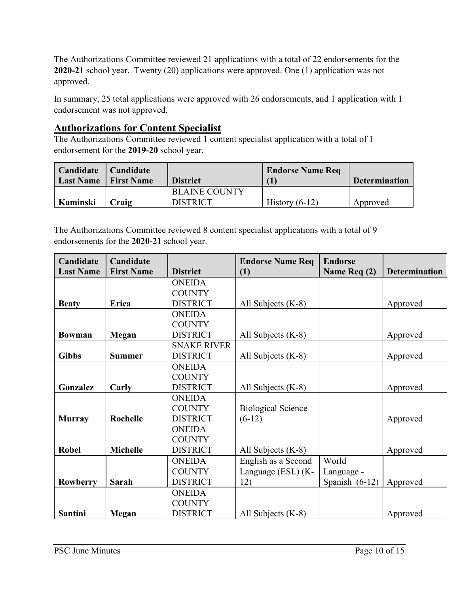The Authorizations Committee reviewed 21 applications with a total of 22 endorsements for the **2020-21** school year. Twenty (20) applications were approved. One (1) application was not approved.

In summary, 25 total applications were approved with 26 endorsements, and 1 application with 1 endorsement was not approved.

## **Authorizations for Content Specialist**

The Authorizations Committee reviewed 1 content specialist application with a total of 1 endorsement for the **2019-20** school year.

| Candidate<br><b>Last Name</b> | Candidate<br><b>First Name</b> | <b>District</b>                         | <b>Endorse Name Req</b> | <b>Determination</b> |
|-------------------------------|--------------------------------|-----------------------------------------|-------------------------|----------------------|
| Kaminski                      | Craig                          | <b>BLAINE COUNTY</b><br><b>DISTRICT</b> | History $(6-12)$        | Approved             |

The Authorizations Committee reviewed 8 content specialist applications with a total of 9 endorsements for the **2020-21** school year.

| Candidate        | Candidate         |                    | <b>Endorse Name Req</b>   | <b>Endorse</b>   |                      |
|------------------|-------------------|--------------------|---------------------------|------------------|----------------------|
| <b>Last Name</b> | <b>First Name</b> | <b>District</b>    | (1)                       | Name Req (2)     | <b>Determination</b> |
|                  |                   | <b>ONEIDA</b>      |                           |                  |                      |
|                  |                   | <b>COUNTY</b>      |                           |                  |                      |
| <b>Beaty</b>     | Erica             | <b>DISTRICT</b>    | All Subjects (K-8)        |                  | Approved             |
|                  |                   | <b>ONEIDA</b>      |                           |                  |                      |
|                  |                   | <b>COUNTY</b>      |                           |                  |                      |
| <b>Bowman</b>    | Megan             | <b>DISTRICT</b>    | All Subjects (K-8)        |                  | Approved             |
|                  |                   | <b>SNAKE RIVER</b> |                           |                  |                      |
| <b>Gibbs</b>     | <b>Summer</b>     | <b>DISTRICT</b>    | All Subjects (K-8)        |                  | Approved             |
|                  |                   | <b>ONEIDA</b>      |                           |                  |                      |
|                  |                   | <b>COUNTY</b>      |                           |                  |                      |
| Gonzalez         | Carly             | <b>DISTRICT</b>    | All Subjects (K-8)        |                  | Approved             |
|                  |                   | <b>ONEIDA</b>      |                           |                  |                      |
|                  |                   | <b>COUNTY</b>      | <b>Biological Science</b> |                  |                      |
| <b>Murray</b>    | <b>Rochelle</b>   | <b>DISTRICT</b>    | $(6-12)$                  |                  | Approved             |
|                  |                   | <b>ONEIDA</b>      |                           |                  |                      |
|                  |                   | <b>COUNTY</b>      |                           |                  |                      |
| <b>Robel</b>     | <b>Michelle</b>   | <b>DISTRICT</b>    | All Subjects (K-8)        |                  | Approved             |
|                  |                   | <b>ONEIDA</b>      | English as a Second       | World            |                      |
|                  |                   | <b>COUNTY</b>      | Language (ESL) (K-        | Language -       |                      |
| Rowberry         | <b>Sarah</b>      | <b>DISTRICT</b>    | 12)                       | Spanish $(6-12)$ | Approved             |
|                  |                   | <b>ONEIDA</b>      |                           |                  |                      |
|                  |                   | <b>COUNTY</b>      |                           |                  |                      |
| Santini          | Megan             | <b>DISTRICT</b>    | All Subjects (K-8)        |                  | Approved             |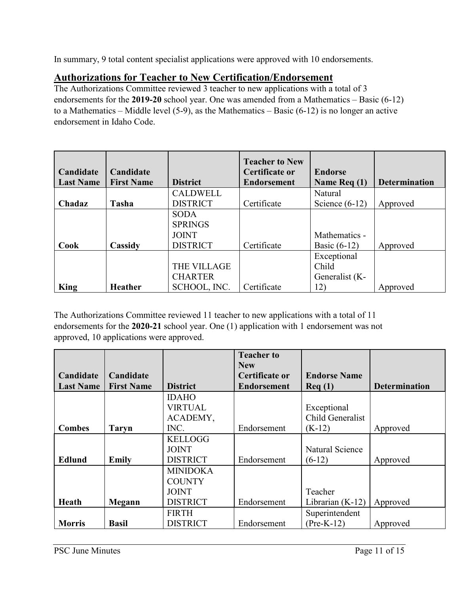In summary, 9 total content specialist applications were approved with 10 endorsements.

# **Authorizations for Teacher to New Certification/Endorsement**

The Authorizations Committee reviewed 3 teacher to new applications with a total of 3 endorsements for the **2019-20** school year. One was amended from a Mathematics – Basic (6-12) to a Mathematics – Middle level (5-9), as the Mathematics – Basic (6-12) is no longer an active endorsement in Idaho Code.

| Candidate<br><b>Last Name</b> | Candidate<br><b>First Name</b> | <b>District</b>    | <b>Teacher to New</b><br>Certificate or<br><b>Endorsement</b> | <b>Endorse</b><br>Name $\text{Re}q(1)$ | <b>Determination</b> |
|-------------------------------|--------------------------------|--------------------|---------------------------------------------------------------|----------------------------------------|----------------------|
|                               |                                | <b>CALDWELL</b>    |                                                               | Natural                                |                      |
| Chadaz                        | Tasha                          | <b>DISTRICT</b>    | Certificate                                                   | Science $(6-12)$                       | Approved             |
|                               |                                | <b>SODA</b>        |                                                               |                                        |                      |
|                               |                                | <b>SPRINGS</b>     |                                                               |                                        |                      |
|                               |                                | <b>JOINT</b>       |                                                               | Mathematics -                          |                      |
| Cook                          | Cassidy                        | <b>DISTRICT</b>    | Certificate                                                   | Basic $(6-12)$                         | Approved             |
|                               |                                |                    |                                                               | Exceptional                            |                      |
|                               |                                | <b>THE VILLAGE</b> |                                                               | Child                                  |                      |
|                               |                                | <b>CHARTER</b>     |                                                               | Generalist (K-                         |                      |
| King                          | <b>Heather</b>                 | SCHOOL, INC.       | Certificate                                                   | 12)                                    | Approved             |

The Authorizations Committee reviewed 11 teacher to new applications with a total of 11 endorsements for the **2020-21** school year. One (1) application with 1 endorsement was not approved, 10 applications were approved.

|                  |                   |                 | <b>Teacher to</b>  |                     |                      |
|------------------|-------------------|-----------------|--------------------|---------------------|----------------------|
|                  |                   |                 | <b>New</b>         |                     |                      |
| Candidate        | Candidate         |                 | Certificate or     | <b>Endorse Name</b> |                      |
| <b>Last Name</b> | <b>First Name</b> | <b>District</b> | <b>Endorsement</b> | $\text{Req}(1)$     | <b>Determination</b> |
|                  |                   | <b>IDAHO</b>    |                    |                     |                      |
|                  |                   | <b>VIRTUAL</b>  |                    | Exceptional         |                      |
|                  |                   | ACADEMY,        |                    | Child Generalist    |                      |
| <b>Combes</b>    | <b>Taryn</b>      | INC.            | Endorsement        | $(K-12)$            | Approved             |
|                  |                   | <b>KELLOGG</b>  |                    |                     |                      |
|                  |                   | <b>JOINT</b>    |                    | Natural Science     |                      |
| Edlund           | Emily             | <b>DISTRICT</b> | Endorsement        | $(6-12)$            | Approved             |
|                  |                   | <b>MINIDOKA</b> |                    |                     |                      |
|                  |                   | <b>COUNTY</b>   |                    |                     |                      |
|                  |                   | <b>JOINT</b>    |                    | Teacher             |                      |
| Heath            | Megann            | <b>DISTRICT</b> | Endorsement        | Librarian $(K-12)$  | Approved             |
|                  |                   | <b>FIRTH</b>    |                    | Superintendent      |                      |
| <b>Morris</b>    | <b>Basil</b>      | <b>DISTRICT</b> | Endorsement        | $(Pre-K-12)$        | Approved             |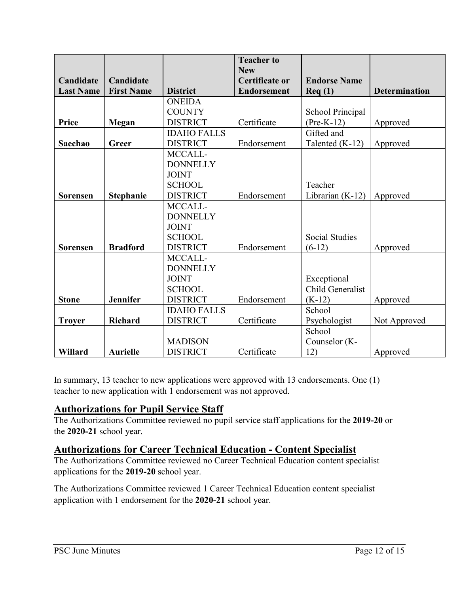|                  |                   |                    | <b>Teacher to</b>  |                       |                      |
|------------------|-------------------|--------------------|--------------------|-----------------------|----------------------|
|                  |                   |                    | <b>New</b>         |                       |                      |
| Candidate        | Candidate         |                    | Certificate or     | <b>Endorse Name</b>   |                      |
| <b>Last Name</b> | <b>First Name</b> | <b>District</b>    | <b>Endorsement</b> | $\text{Req}(1)$       | <b>Determination</b> |
|                  |                   | <b>ONEIDA</b>      |                    |                       |                      |
|                  |                   | <b>COUNTY</b>      |                    | School Principal      |                      |
| Price            | Megan             | <b>DISTRICT</b>    | Certificate        | $(Pre-K-12)$          | Approved             |
|                  |                   | <b>IDAHO FALLS</b> |                    | Gifted and            |                      |
| Saechao          | Greer             | <b>DISTRICT</b>    | Endorsement        | Talented (K-12)       | Approved             |
|                  |                   | MCCALL-            |                    |                       |                      |
|                  |                   | <b>DONNELLY</b>    |                    |                       |                      |
|                  |                   | <b>JOINT</b>       |                    |                       |                      |
|                  |                   | <b>SCHOOL</b>      |                    | Teacher               |                      |
| <b>Sorensen</b>  | <b>Stephanie</b>  | <b>DISTRICT</b>    | Endorsement        | Librarian $(K-12)$    | Approved             |
|                  |                   | MCCALL-            |                    |                       |                      |
|                  |                   | <b>DONNELLY</b>    |                    |                       |                      |
|                  |                   | <b>JOINT</b>       |                    |                       |                      |
|                  |                   | <b>SCHOOL</b>      |                    | <b>Social Studies</b> |                      |
| Sorensen         | <b>Bradford</b>   | <b>DISTRICT</b>    | Endorsement        | $(6-12)$              | Approved             |
|                  |                   | MCCALL-            |                    |                       |                      |
|                  |                   | <b>DONNELLY</b>    |                    |                       |                      |
|                  |                   | <b>JOINT</b>       |                    | Exceptional           |                      |
|                  |                   | <b>SCHOOL</b>      |                    | Child Generalist      |                      |
| <b>Stone</b>     | Jennifer          | <b>DISTRICT</b>    | Endorsement        | $(K-12)$              | Approved             |
|                  |                   | <b>IDAHO FALLS</b> |                    | School                |                      |
| <b>Troyer</b>    | <b>Richard</b>    | <b>DISTRICT</b>    | Certificate        | Psychologist          | Not Approved         |
|                  |                   |                    |                    | School                |                      |
|                  |                   | <b>MADISON</b>     |                    | Counselor (K-         |                      |
| Willard          | <b>Aurielle</b>   | <b>DISTRICT</b>    | Certificate        | 12)                   | Approved             |

In summary, 13 teacher to new applications were approved with 13 endorsements. One (1) teacher to new application with 1 endorsement was not approved.

# **Authorizations for Pupil Service Staff**

The Authorizations Committee reviewed no pupil service staff applications for the **2019-20** or the **2020-21** school year.

# **Authorizations for Career Technical Education - Content Specialist**

The Authorizations Committee reviewed no Career Technical Education content specialist applications for the **2019-20** school year.

The Authorizations Committee reviewed 1 Career Technical Education content specialist application with 1 endorsement for the **2020-21** school year.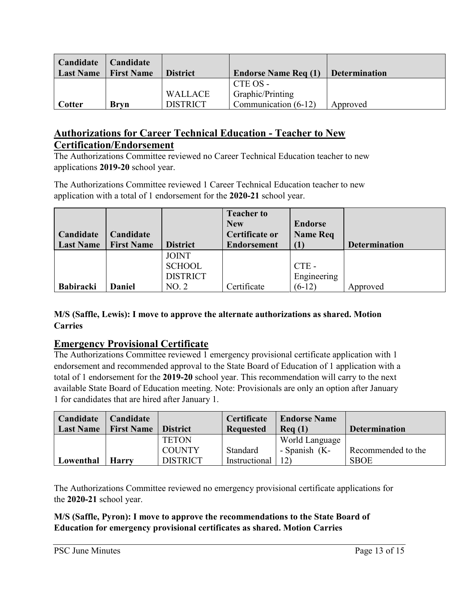| Candidate<br><b>Last Name</b> | <b>Candidate</b><br><b>First Name</b> | <b>District</b> | <b>Endorse Name Req (1)</b> | <b>Determination</b> |
|-------------------------------|---------------------------------------|-----------------|-----------------------------|----------------------|
|                               |                                       |                 | CTE OS -                    |                      |
|                               |                                       | <b>WALLACE</b>  | Graphic/Printing            |                      |
| Cotter                        | <b>Brvn</b>                           | <b>DISTRICT</b> | Communication (6-12)        | Approved             |

# **Authorizations for Career Technical Education - Teacher to New Certification/Endorsement**

The Authorizations Committee reviewed no Career Technical Education teacher to new applications **2019-20** school year.

The Authorizations Committee reviewed 1 Career Technical Education teacher to new application with a total of 1 endorsement for the **2020-21** school year.

| Candidate        | Candidate         |                 | <b>Teacher to</b><br><b>New</b><br>Certificate or | <b>Endorse</b><br><b>Name Req</b> |                      |
|------------------|-------------------|-----------------|---------------------------------------------------|-----------------------------------|----------------------|
| <b>Last Name</b> | <b>First Name</b> | <b>District</b> | <b>Endorsement</b>                                |                                   | <b>Determination</b> |
|                  |                   | <b>JOINT</b>    |                                                   |                                   |                      |
|                  |                   | <b>SCHOOL</b>   |                                                   | $CTE -$                           |                      |
|                  |                   | <b>DISTRICT</b> |                                                   | Engineering                       |                      |
| <b>Babiracki</b> | Daniel            | NO.2            | Certificate                                       | $(6-12)$                          | Approved             |

#### **M/S (Saffle, Lewis): I move to approve the alternate authorizations as shared. Motion Carries**

# **Emergency Provisional Certificate**

The Authorizations Committee reviewed 1 emergency provisional certificate application with 1 endorsement and recommended approval to the State Board of Education of 1 application with a total of 1 endorsement for the **2019-20** school year. This recommendation will carry to the next available State Board of Education meeting. Note: Provisionals are only an option after January 1 for candidates that are hired after January 1.

| Candidate<br><b>Last Name</b> | Candidate<br><b>First Name</b> | <b>District</b> | Certificate<br><b>Requested</b> | <b>Endorse Name</b><br>$\text{Re}q(1)$ | <b>Determination</b> |
|-------------------------------|--------------------------------|-----------------|---------------------------------|----------------------------------------|----------------------|
|                               |                                | <b>TETON</b>    |                                 | World Language                         |                      |
|                               |                                | <b>COUNTY</b>   | Standard                        | - Spanish (K-                          | Recommended to the   |
| Lowenthal                     | <b>Harry</b>                   | <b>DISTRICT</b> | Instructional                   | 12)                                    | <b>SBOE</b>          |

The Authorizations Committee reviewed no emergency provisional certificate applications for the **2020-21** school year.

**M/S (Saffle, Pyron): I move to approve the recommendations to the State Board of Education for emergency provisional certificates as shared. Motion Carries**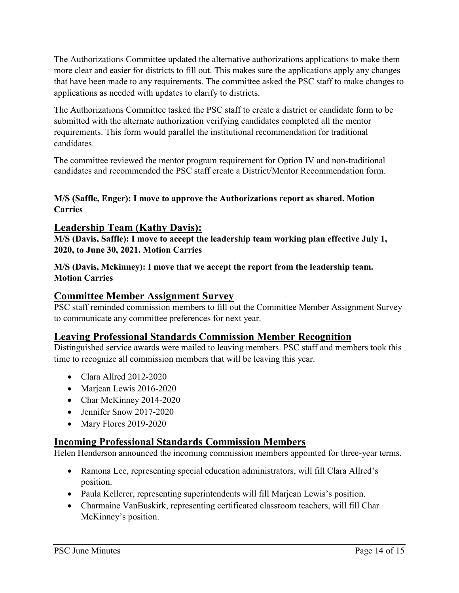The Authorizations Committee updated the alternative authorizations applications to make them more clear and easier for districts to fill out. This makes sure the applications apply any changes that have been made to any requirements. The committee asked the PSC staff to make changes to applications as needed with updates to clarify to districts.

The Authorizations Committee tasked the PSC staff to create a district or candidate form to be submitted with the alternate authorization verifying candidates completed all the mentor requirements. This form would parallel the institutional recommendation for traditional candidates.

The committee reviewed the mentor program requirement for Option IV and non-traditional candidates and recommended the PSC staff create a District/Mentor Recommendation form.

#### **M/S (Saffle, Enger): I move to approve the Authorizations report as shared. Motion Carries**

## **Leadership Team (Kathy Davis):**

**M/S (Davis, Saffle): I move to accept the leadership team working plan effective July 1, 2020, to June 30, 2021. Motion Carries**

**M/S (Davis, Mckinney): I move that we accept the report from the leadership team. Motion Carries** 

#### **Committee Member Assignment Survey**

PSC staff reminded commission members to fill out the Committee Member Assignment Survey to communicate any committee preferences for next year.

## **Leaving Professional Standards Commission Member Recognition**

Distinguished service awards were mailed to leaving members. PSC staff and members took this time to recognize all commission members that will be leaving this year.

- Clara Allred 2012-2020
- Marjean Lewis 2016-2020
- Char McKinney 2014-2020
- Jennifer Snow 2017-2020
- Mary Flores 2019-2020

## **Incoming Professional Standards Commission Members**

Helen Henderson announced the incoming commission members appointed for three-year terms.

- Ramona Lee, representing special education administrators, will fill Clara Allred's position.
- Paula Kellerer, representing superintendents will fill Marjean Lewis's position.
- Charmaine VanBuskirk, representing certificated classroom teachers, will fill Char McKinney's position.